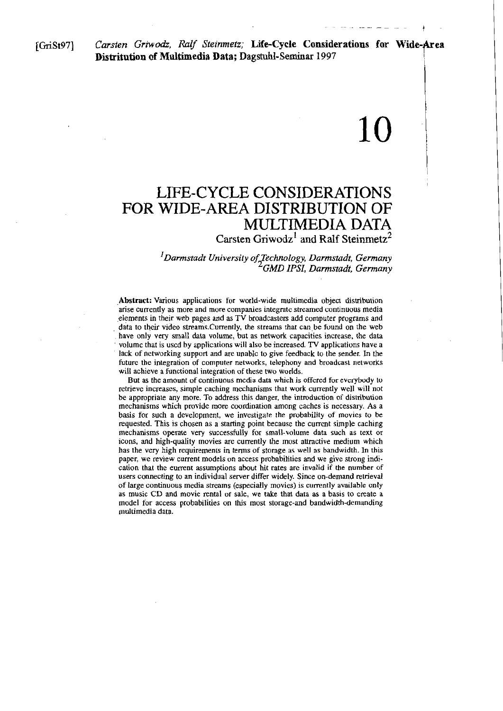[GriSt97] *Carsten Griwodz, Ralf Steinmetz;* Life-Cycle Considerations for Wide-Area<br>**Distritution of Multimedia Data;** Dagstuhl-Seminar 1997

# LIFE-CY CLE CONSIDERATIONS FOR WIDE-AREA DISTRIBUTION OF MULTIMEDIA DATA Carsten Griwodz<sup>1</sup> and Ralf Steinmetz<sup>2</sup>

*'Darmstadt Universily of Technology, Darmstadt, Germany*  **2~~~** *IPSI, Darmstadt, Gennany* 

Abstract: Various applications for world-wide multimedia object distribution arise currently as more and more companies integntc streamed continuous media elements in their web pages and as TV broadcasters add Computer programs and data to their video streams.Currenrly, the streams that can be fuund on the web bave only very small data volume, but as network capacities increase. the data volumc that is-uscd by applicarions will also **be** increased. **TV** applications have a lack of networking support and are unable to give feedback to the sender. In the future the integration of computer networks, telephony and broadcast networks will achieve a functional integration of these two worlds.

But as the amount of continuous mcdia data which is offcred for everybody tu retrieve increases, simple caching mechanisms that work currently well will not be appropriate any more. To address this danger, the introduction of distribution mechanisms which provide more coordination among caches is necessary. As a basis for such a development, we investigate the probability of movies to be requested. This is chosen as a starüng point because the current simple caching mechanisms operate very successfully for small-volume data such as tcxt **or**  icons, and high-quality movies are currently the most attractive medium which has the very high requirements in terms of storage as well as bandwidth. In this paper, we review current models on access probabilities and we give strong indication that the eurrent assumptions about hit rates are invalid if the number of Users connecting to an individual Server differ widely. Since on-demand retrieval of large continuous media streams (especially movies) is currenrly available only as music CD and movie rental or sale, we take that data **as** a basis to create a model for access probabilities on this most storage-and bandwidth-demanding multimedia data.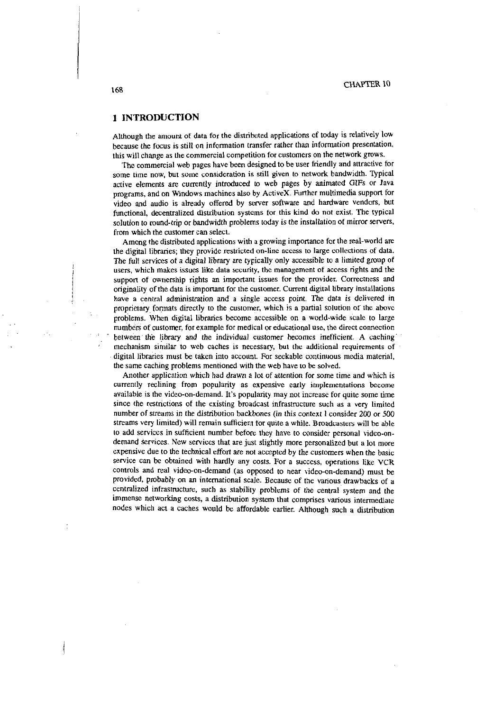#### **1 INTRODUCTION**

Although the amount of data for the distributed applications of today is relatively low because the focus is still on information transfer rather than infomation presentation. this will change as the commercial competition for customers on the network grows.

The commercial web pages have been designed to be user friendly and attractive for some time now, but some considcration is still given to network bandwidth. Typical active elements are currently introduced to web pages by animated GlFs or Java programs, and on Windows machines also by ActiveX. Further multimedia support for video and audio is already offered by Server software and hardware vendors, but functional, decentralized distribution systems for this kind do not exist. The typical solution to round-trip or bandwidth problems today is the installation of mirror servers, from which the customer can select.

Among the distributed applications with a growing importance for the real-world are the digital libraries; they provide restricted on-line access to large collections of data. The full services of a digital library are typically only accessible to a limited group of users, which makes issues like data security, the management of access rights and the users, which makes issues like data security, the management of access rights and the<br>support of ownership rights an important issues for the provider. Correctness and<br>originality of the data is important for the customer. support of ownership rights an important issues for the provider. Correctness and originality of the data is important for the customer. Current digital library installations have a central administration and a single access point. The data is delivered in proprietary formats directly to the customer, which is a partial solution of the above problems. When digital libraries become accessible on a world-wide scale to large numbers of customer, for example for medical or educational use, the direct connection between the library and the individual eustomer hecomes inefficient. A caehing mechanism similar to web caches is necessary, but the additional requirements of digital libraries must be taken into account. For seekable continuous media material. the same caching problems mentioned with the web have to be solved.

> Another application which had drawn a lot of attention for some time and which is currently reclining from popularity as expensive early implementations become available is the video-on-demand. It's popularity may not increase for quite some time since the restrictions of the existing broadcast infrastructure such as a very limited number of streams in the distribution backbones (in this context 1 consider 200 or 500 streams very limited) will remain sufficient for quite a while. Broadcasters will be able 10 add services in sufficient number before they have to consider personal video-ondemand services. New serviees that are just slightly more personalized but a lot more expensive due to the technical effort are not accepted by the customers when the basic service can be obtained with hardly any costs. For a success, operations like VCR controls and real video-on-demand (as opposed to near video-on-demand) must be provided, probably on an international scale. Because of the vanous drawbacks of a centralized infrastmcture. such **as** stability problems of the central system and the immense networking costs, a distribution system that comprises vaious intermediate nodes which act a caches would be affordable earlier. Although such a distribution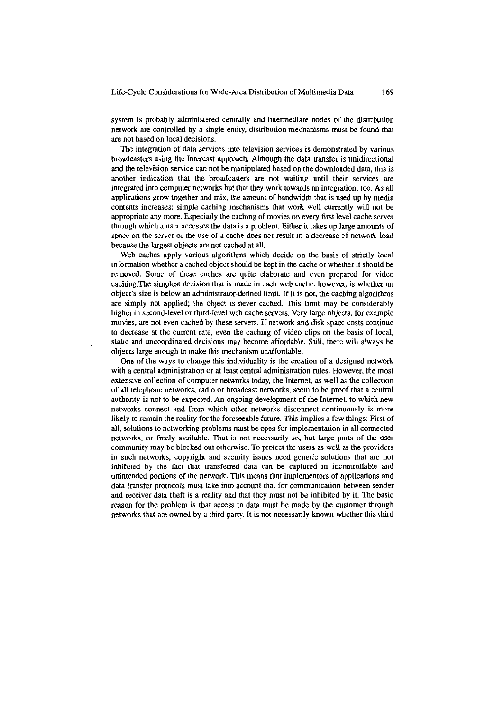system is probably administered centrally and intermediate nodes of the distribution network are controlled by a single entity. distribution mechanisms must be found that are not based on local decisions.

The integration of data services into television services is demonstrated hy vanous broadcasters using the Intercast approach. Although the data transfer is unidirectional and the television service can not be manipulated based on the downloaded data, this is another indication that the broadcasters are not waiting until their services are integrated into computer networks but that they work towards an integration, too. As all applications grow together and mix, the amount of bandwidth that is used up by media contents increases; simple caching mechanisms that work well currently will not be appropriate any more. Especially the caching of movies on every first level cache server through which a user accesses the data is a problem. Either it takes up large amounts of space on thc servcr or the use 01 **a** cache does not result in a decrease of network load because the largest objects **are** not cached at all.

Web caches apply various algorithms which decide on the basis of strictly local information whether a cached object should be kept in the cache or whether it should be removed. Some of these caches are quite elaborate and even prepared for video caching.The simplest decision that is made in each web cache. however, is whether an object's size is below an administrator-defined limit. If it is not, the caching algorithms are simply not applied; the object is never cached. This limit may be considerably higher in second-level ur third-level web cache servers. Very large objects, for example movies, are not even cached by these servers. If nezwork and disk space costs continue **to** decrease at the cunent rate, even the caching of video clips on the basis of local, staue and uncoordinated decisions rnay become affordable. Stili, ihere will always **he**  objects large enough to make this mechanism unaffordable.

One of the ways to change this individuality is the creation of a designed network with a central administration or at least central administration rules. However, the most extensive collection of computer networks today. the Internet, as well **as** the collection of all telephone networks, radio or broadcast networks. seem tobe proof that a central authority is not to **be** expected. An ongoing development of the Internet. to which new networks connect and from which other networks disconnect continuously is more likely to remain the reality for the foreseeable **future.** Tbis implies a few things: First of all, solutions to networking problems must be open for implementation in all connected networks, or freely available. That is not necessarily so, but large parts of the user community may he hlocked out otherwise. To protect the Users **as** well as the providers in such networks, copynght and secunty issues need generic solutions that are not inhibited by the fact that transferred data can be captured in incontrollable and umntended portions of the network. This means that implementors of applications and data transfer protocols must Iake into account thal for communication hetween sender and receiver data theft is a reality and that they must not be inhibited by it. The basic reason for the pmblem is that access to data must be made by the customer through networks that are owned by a third party. It is not necessarily known whether this third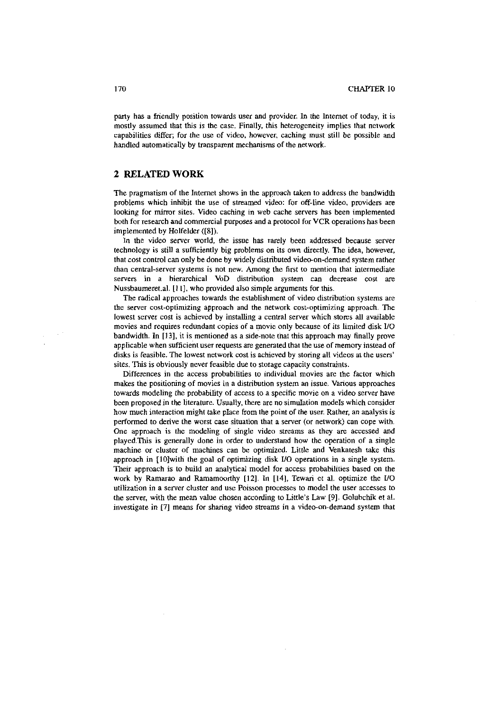party has a friendly position towards user and provider. In the Internet of today, it is mostly assumed that this is the case. Finally, this heterogeneity implies that network capabilities differ; for the use of video. however, caching must still be possible and handled automatically by transparent mechanisms of the network.

### **2 RELATED WORK**

The pragmatism of the Internet shows in the approach taken to address the bandwidth problems which inhibit the use of streamed video: for off-line video, providers are looking for mirror sites. Video caching in web cache servers has been implemented both for research and commercial purposes and a protocol for VCR operations has been implemented by Holfelder ([8]).

In the video server world, the issue has rarely been addressed because server technology is still a sufficiently big problems on its own directly. The idea. however, that cost control can only be done by widely distributed video-on-demand system rather than central-server systems is not new. Among the first to mention that intermediate servers in a hierarchical VoD distribution system can decrease cost are Nussbaumeret.al.  $[11]$ , who provided also simple arguments for this.

The radical approaches towards the establishment of video distribution systems are the server cost-optimizing approach and the network cost-optimizing approach. The lowest server cost is achieved by installing a central server which stores all available movies and requires redundant copies of a movie only because of **iü** limitcd disk *U0*  bandwidtb. In [13]. it is mentioned as a side-note that this approach may finally prove applicable when sufficient user requests are generated that the use of memory instead of disks is feasible. The lowest network cost is achieved by storing all videos at the users' sites. This is obviously never feasible due to Storage capacity constraints.

Differences in the access probabilities to individual movies are the factor which makes the positioning of movies in a distribution system an issue. Vanous approaches towards modeling the probabiliiy of access to a specific movie on a video server have been proposed in the literature. Usually, there are no simulation models which consider how much interaction might take pIace from the point of the User. Rather. an analysis is perfonned to derive the worst case situation that a server (or network) can cope with. One approach is the modeling of single video streams as they are accessed and played.This is generally done in order to understand how the operation of a single machine or cluster of machines can be optimized. Little and Venkatesh take this approach in [IOIwith the goal of optimizing disk *U0* operations in a single system. Their approach is to build an analytical model for access probabilities based on the work by Ramarao and Ramamoorthy [12]. In [141, Tewari et al. optimize the *U0*  utilization in a server cluster and use Poisson processes to model the user accesses to the server, with the mean value chosen according to Little's Law [9]. Golubchik et al. investigate in [7] means for sharing video sireams in a video-on-demand system that

 $\sim$   $^{\circ}$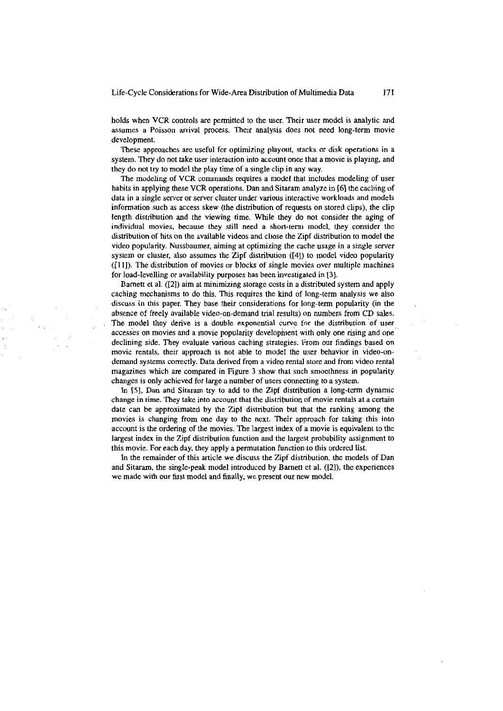holds when VCR controls are permitted to the user. Their user model is analytic and assumes a Poisson arrival process. Their analysis does not need long-term movie development.

These approaches are useful for optimizing playout. stacks or disk operations in a system. They do not take user interaction into account onee that a movie is playing, and they do not try to model the play time of a single ciip in any way.

The modeling of VCR commands requires a model that includes modeling of User habits in applying these VCR operations. Dan and Sitaram analyze in *[6]* the cacliing of data in a single server or server cluster under various interactive workloads and models information such **as** access skew (the distribution of requests on stored clips). the clip length distribution and the viewing time. While they do not consider the aging of individual movies, because they still need a short-ienri model, they consider the distribution of hits on the available videos and cliose the Zipf distribution to model the video popularity. Nussbaumer, aiming at optimizing the cache usage in a single server system or cluster, also assumes the Zipf distribution  $(54)$  to model video popularity ([I **11).** The distribution of movies or blocks of single movies over multiple machines for Ioad-levelling or availability purposes has been invcsiigated in **[3].** 

Bamett et al. ([Z]) aim at minimizing Storage costs in a distributed system and apply caching mechanisms to do this. This requires the kind of long-term analysis we also discuss in this paper. They base their considerations for long-term popularity (in the absence of freely available video-on-demand trial results) on numbers from CD sales. The model they derive is a double exponential curve for the distribution of user accesses on movies and a movie popularity development with only one rising and one declining side. They evaluate various caching strategies. From our findings based on movic rentals, their approach is not able to model the user behavior in video-ondemand Systems correctly. Data derived from a video rental store and from video rental magazines which are compared in Figure 3 show that such smoothness in popularity changes is only achieved for large a number of users connecting to a system.

In [5], Dan and Sitaram try to add to the Zipf distribution a long-term dynamic change in time. They take into account that the distribution of movie rentals at a certain date can be approximated by the Zipf distribution but that the ranking among the movies is changing from one day to the next. Their approach for taking this into account is the ordering of the movies. The largest index of a movie is equivalent to the largest index in the Zipf distribution function and the largest probability assignment to this movie. For each day, they apply a permutation function to this ordered list.

In the remainder of this article we discuss the Zipf distribution, the models of Dan and Sitaram, the single-peak model introduced by Bamett et al. ([Z]), the experiences we made with our first model and finally, we present our new model.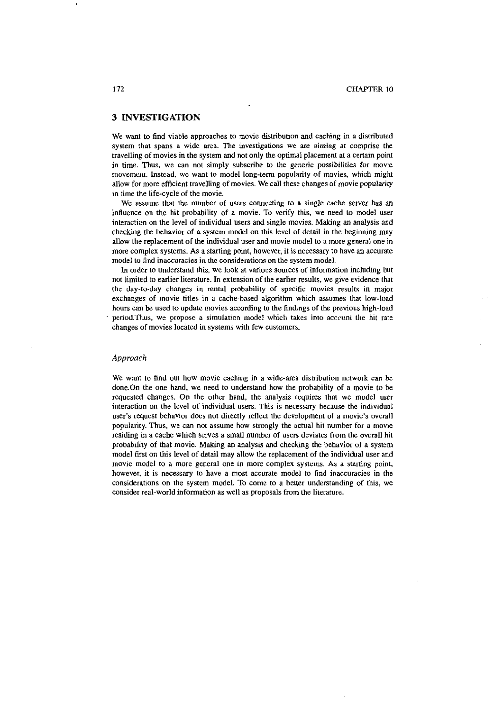## **3 INVESTIGATION**

We want to find viable approaches to movie distribution and caching in a distributed system that spans a wide area. The investigations we are aiming at comprise the travelling of movies in the system and not only the optimal placement at a certain point in time. Thus, we can not simply subscribe to the generic possibilities for movie muvemeni. hstead, wc wmt to model long-tem popularity of movies, which might allow for more efficient travelling of movies. We call these changes of movie popularity in time the life-cycle of the movie.

We assume that the number of users connecting to a single cache server has an influence on the hit probability of a movie. To verify this, we need to model user interaction on the level of individual users and single movies. Making an analysis and checking the behavior of a systcm model on this level of detail in the beginning may allow the replacement of the individual user and movie model to a more general one in more complex systems. As a starting point, however, it is necessary to have an accurate model to find inaccuracies in thc considerations on the system model.

In order to understand this, we look at various sources of information including but not limited to earlier literature. In extension of the earlier results, we give evidence that the day-to-day changes in rental probability of specific movies results in major exchanges of movie titles in a cache-hased algonthm which assumes that low-load hours can be used to update movies according to the findings of the previous high-load period. Thus, we propose a simulation model which takes into account the hit rate changes of movies located in systems with few customers.

#### *Approach*

We Want to find out how movie caching in a wide-area distribution nctwork can **be**  done.On the one hand, we need to understand how the probability of a movie tobe requested changes. On the other hand, the analysis requires that we model user interaction on the level of individual users. This is necessary bccause the individual user's request behavior does not directly reflect the development of a movie's overall popularity. Thus, we can not assume how strongly the actual hit number for a movie residing in a cache which serves a small number of users deviates from the overall hit probability of that movie. Making an analysis and checking the behavior of a system model first on this level of detail may allow the replacement of the individual User and movie model to a more general one in more complex systems. As a starting point, however, it is necessary to have a most accurate model to find inaccuracies in the considerations an the system model. To come to a hetter understanding of this, we eonsider real-world information as well as proposals from the literature.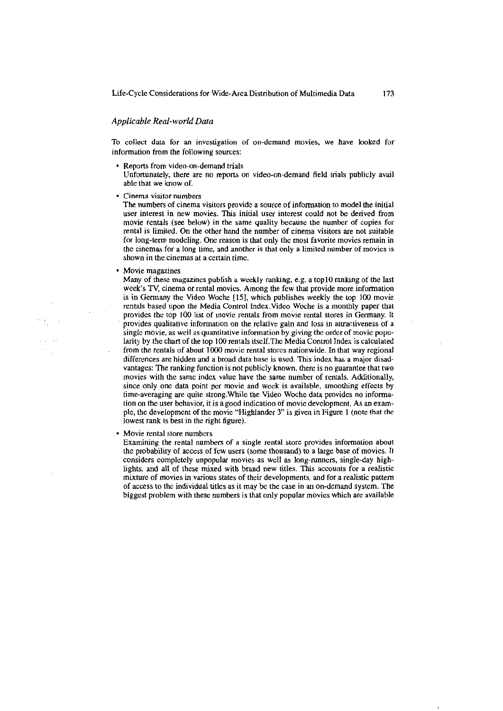# *Applicable Real-world Dura*

To collect data for an investigation of on-demand movies, we have looked for information from the following sources:

• Reports from video-on-demand trials

Unfortunately, there are no reports on video-on-demand field trials publicly avail able that we know of.

. Cinema visitor numbers

The numbers of cinema visitors provide a source of information to model the initial User interest in new movies. This inirial User interest could not **be** derived from movie rentals (see below) in the same quality because the number of copies for rental is limited. On the other hand the number of cinema visitors are not suitable for long-term modeling. One reason is that only the most favorite movies remain in the cinemas for a long time, and another is that only a limited number of movics is shown in the cinemas at a certain time.

Movie magazines

Many of these magazincs publish a weekly ranking, e.g. a top10 ranking of the last week's TV, cinema or rental movies. Among the few that provide more information is in Germany the Video Woche [151, which publishes weekly the top 100 movie rentals based upon the Media Control Index. Video Woche is a monthly paper that provides the top 100 list of movie rentals from movie rental stores in Germany. It provides qualitative information on the relative gain and loss in attractiveness of a single movie, as weil as quantitative information by giving the order of movie popularity by the chart of the top 100 rentals itself. The Media Control Index is calculated from the rentals of about 1000 movie rental stores nationwide. In that way regional differentes are hidden and a broad data base is used. This index has a maior disadvantages: The ranking function is not publicly known, there is no guarantee that two movies with the same index value have the same number of rentals. Additionally, since only one data point per movie and week is available, smoothing effects by time-averaging are quite strong. While the Video Woche data provides no information on the user behavior, it is a good indication of movie development. As an example, the development of the movie "Highlander 3" is given in Figure 1 (note that the lowest rank is best in the right figure).

• Movie rental store numbers

Examining the rental numbers of a single rental store provides information about the probability of access of few Users (some thousand) to a large base of movies. It considers cornpletely unpopular movies as well as long-mmers, single-day highlights. and alI of these mixed with brand new titles. This accounts for a realistic mixture of movies in various states of their developments, and for a realistic pattern of access to the individual titles as it may be the case in an on-demand system. The biggest problem with these numbers is that only popuIar movies which are availahle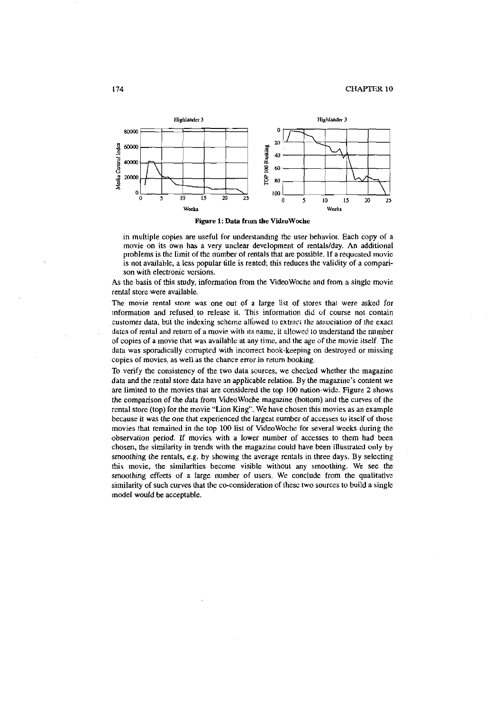

**Pigure 1: Data from the VideoWoche** 

in multiple copies **are** useful for understanding the User behavior. Each copy of a movie on its own has a very unclear development of rentals/day. An additional problems is the limit of the number of rentals that are possible. If a requested movie is not available, a less popular title is rented; this reduces the validity of a comparison with electronic versions.

As the basis of this study, information from the VideoWoche and from a single movie rental store were available.

The movie rental store was one out of a large list of stores that were asked for infonnation and refiised to release it. This Information did of Course not contain customer data, but the indexing scheme allowed to extract the association of the exact dates of rental and return of a movie with its name, it allowed to understand the number of copies of a movie that was available at any time, and the age **of** the movie itself. The data was sporadically compted with incorrect book-keeping on destroyed or missing copies of movics, as well as the chance errorin retum booking.

To verify the consistency of the two data sources. we checked whether the magazine data and the rental store **data** have an applicable relation. By the magazine's content we are limited to the movies that are considered the top 100 nation-wide. Figure 2 shows the comparison of the data from VideoWoche magazine (bottom) and the curves of the rental store (top) for the movie "Lion King". We have chosen this movies as an example because ir was the one that experienced the largest number of accesses ro itself of those movies that remained in the top 100 list of VideoWoche for several weeks during the observation period. If movies with a lower number of accesses to them had been chosen, the similarity in trends with the magazine could have been illustrated only by smoothing the rentals, e.g. by showing the average rentals in three days. By selecting this movie. the similarities become visible without any smoothing. We see the smoothing effeets of a large number of users. We conclude from the qualitative similarity of such curves that the co-consideration of thesc two sources to build a single model would be acceptable.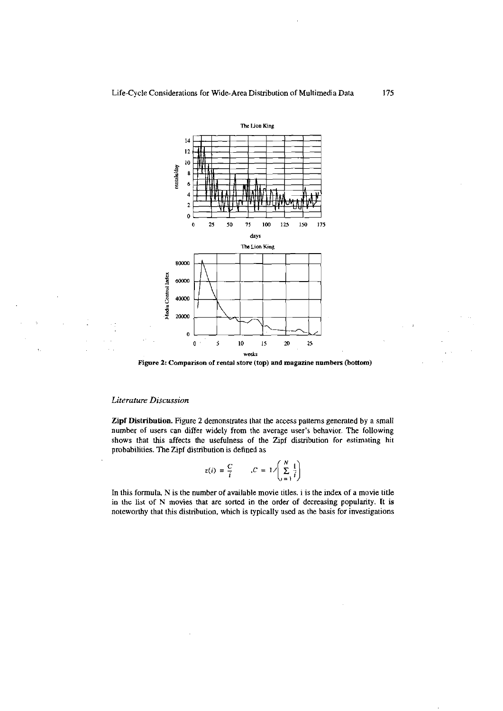

Figure 2: Comparison of rental store (top) and magazine numbers (bottom)

#### Literature Discussion

Zipf Distribution. Figure 2 demonstrates that the access patterns generated by a small number of users can differ widely from the average user's behavior. The following shows that this affects the usefulness of the Zipf distribution for estimating hit probabilities. The Zipf distribution is defined as

$$
z(i) = \frac{C}{i} \qquad C = 1 / \left( \sum_{i=1}^{N} \frac{1}{i} \right)
$$

In this formula, N is the number of available movie titles. i is the index of a movie title in the list of N movies that are sorted in the order of decreasing popularity. It is noteworthy that this distribution, which is typically used as the basis for investigations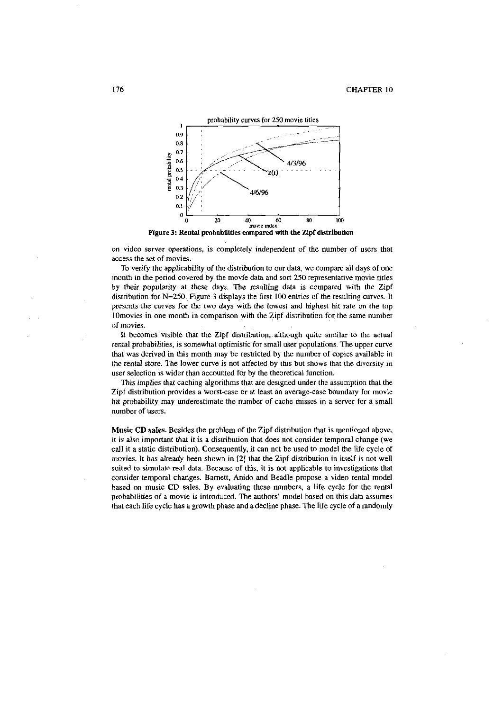

on video server operations. is completely independent of the number of users that access the set of movies.

To verify the applicability of the distribution to our data, we compare all days of one month in the period covered by the movie data and sort 250 representative movie titles by their popularity at these days. The tesulting data is compared witb the Zipf distribution for **N=250.** Figure 3 displays the first 100 entries of the resulting curves. lt presents the curves for the two days with the lowest and highest hit rate on the top IOmovies in one month in comparison with the Zipf distribution for the same nuniber of movies.

It becomes visible that the Zipf distribution, although quite similar to the actual rental probabilities, is somewhat oplirnistic for small User populations. The upper curve that was derived in this month may be restncted by the number of copies available in the rental store. The lower curve is not affected by this but shows that the diversity in user selection is wider than accounted for by the theoretical function.

This implies that caching aigorithms that are designed under the assumption that the Zipf distribution provides a worst-case or at least an average-case boundary for movie hit probability may underestimate the number of cache misses in a server for a small number of users.

Music CD saIes. Besides the problem of the Zipf distribution that is mentioned above, it is also important that it is a distribution that does not consider temporal change (we call it a static distribution). Consequently, it can not be used to model the life cycle of movies. It has aiready been shown in **[2]** that the Zipf distribution in itself is not well suited to simulale real data. Because of this, it is not applicable to investigations that consider temporal changes. Bamett, Anido and Beadle propose a video rental model based on music CD sales. By evaluating these numbers, a life cycle for the rental probabilities of a movie is introduced. The authors' model based on this data assumes that each life cycle has a growth phase and a decline phase. The life cycle of a randomly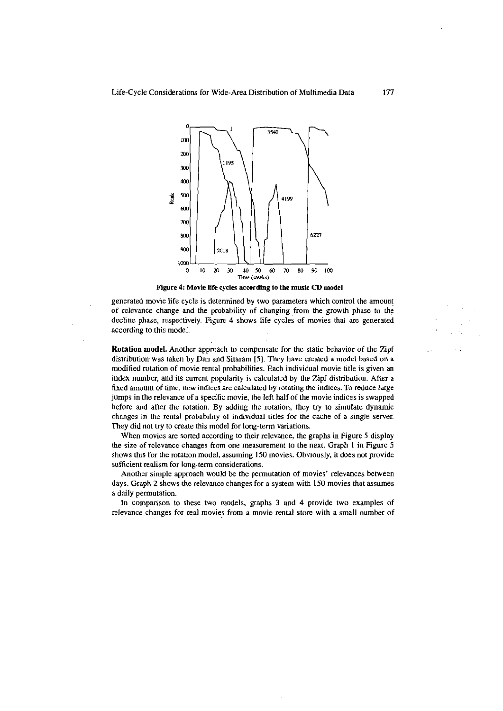

Figure 4: Movie life cycles according to the music CD model

generated movie life cycle is detennined by two parameters which control the amount of relevance change and the probability of changing from the growth phase to the decline phase, respectively. Figure 4 shows life cycles of movies that are generated according to this model.

Rotation model. Another approach to compensate for the static behavior of the Zipf distribution-was taken by Dan and Sitaram [5]. They have created a model based on a modified rotation of movie rental probabilities. Each individual movie title is given an index number, and its current popularity is calculated by the Zipf distribution. After a fixed amount of time, **new** indices are calculated by rotating thc indiccs. To reduce karge jumps in the relevance of a specific movie, the left half of the movie indices is swapped before and after the rotation. By adding the rotation, they try to simulate dynamic changes in the rental probability of individual titles for the cache of a single server. They did not try to create this model for long-tem variations.

When movies are sorted according to their relevance, the graphs in Figure 5 display the size of relevance changes from one measurement to the next. Graph 1 in Figure 5 shows this for the rotation model, assuming 150 movies. Obviously, it does not provide sufficient realism for long-term considerations.

Another simple approach would be the permutation of movies' relevances between days. Graph 2 shows the relevance changes for a system with 150 movies that assumes a daily permutation.

In comparison to these two models, graphs 3 and 4 provide two examples of relevance changes for real movies from a movie rental store with a small number of

 $\sim 10^{-1}$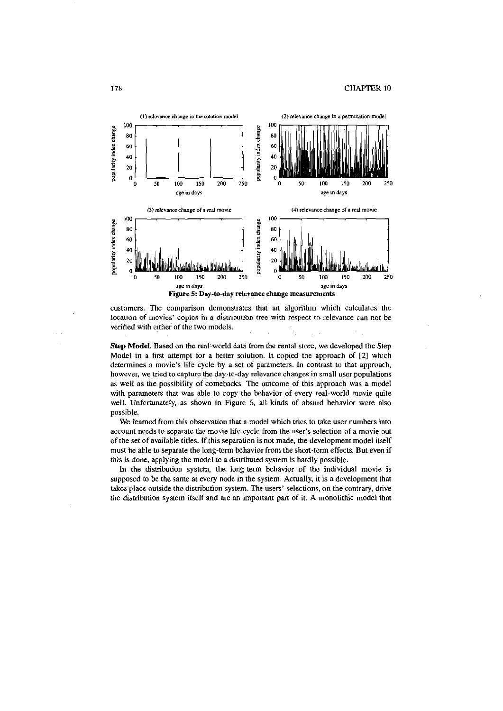

customers. The comparison demonstrates that an algorithm which calculates the location of movies' copies in a distribution tree with respect to relevance can not be verified with either of the two models.

Step Model. Based on the real-world data trom the rental store, we developed the Step Model in a first attempt for a better solution. It copied the approach of [2] which determines a movie's life cycle by a set of parameters. In contrast to that approach, however, we tried to capture the day-to-day relevance changes in small user populations as well as the possibility of comebacks. The outcome of this approach was a model with parameters that was able to copy the behavior of every real-world movie quite well. Unfortunately, as shown in Figure 6, all kinds of absurd behavior were also possible.

We learned from this observation that a model which tries to take user numbers into account needs to separate the movie life cycle from the user's selection of a movie out of the set of available titles. If this separation is not made, the development model itself must be able to separate the long-term behavior from the short-term effects. But even if this is done, applying the model to a distributed system is hardly possible.

In the distribution system, the long-term behavior of the individual movie is supposed to be the same at every node in the system. Actually, it is a development that takes place outside the distribution system. The users' selections, on the contrary, drive the distribution system itself and are an important part of it. A monolithic model that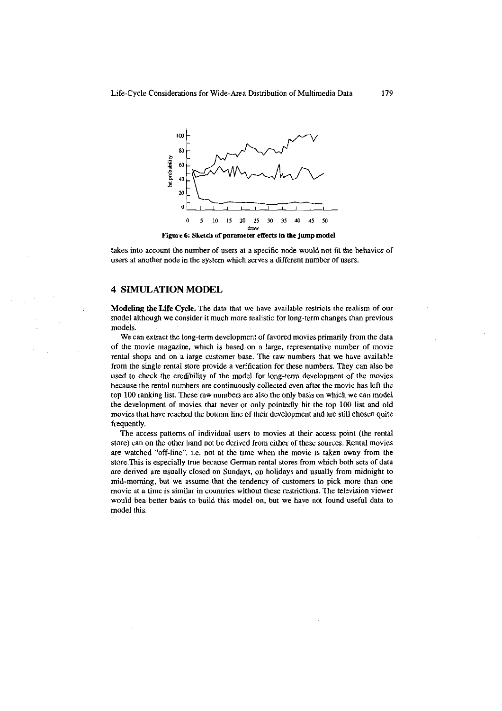

**Figure 6: Sketch uf Parameter effeetr** in **tüe jump mdel** 

takes into account the number of users at a specific node would not fit the behavior of users at another node in the system which serves a different number of users.

#### **4 SIMULATION MODEL**

Modeling the Life Cycle. The data that we have available restricts the realism of our model although we consider it much more realistic for long-term changes than previous models

We can extract the long-term development of favored movies primarily from the data of the movie magazine. which is based on a !arge. representative number of movie rental shops and on a large customer base. The raw numbers that we have available from the single rental store provide a verification for these numbers. They can also **be**  used to check the credibility of the model for long-term development of the movies because the rental numbers are continuously collected even aftcr thc movie has left the top 100 ranking lisi. These raw numbers are also the only basis on which we can model the development of movies that never or only pointedly hit the top 100 list and old movies that have reached the bottom line of their development and are still chosen quite frequently.

The access patterns of individual users to movies at their access point (the rental store) can on the other hand not be denved from either of these sources. Rental movies are watched "off-line". i.e. not at the time when the movie is taken away from the store.This is especially true because German rental stores from which both sets of data are denved are usually closed on Sundays, on holidays and usually from midnight to mid-morning, but we assume that the tendency of customers to pick more than one movic at a time is similar in countries without rhese restrictions. The television viewer would bea better basis to build this model on, but we have not found useful data to model this.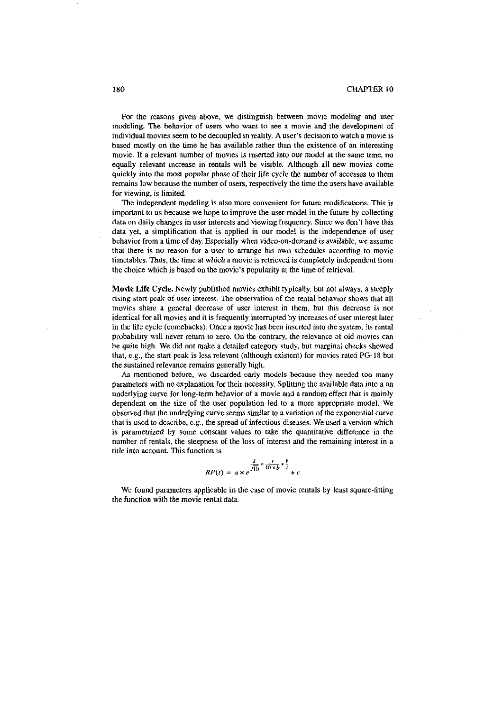For the reasons given above, we distinguish between movie modeling and user modeling. The behavior of users who Want to see a movie and the development of individual movies seem tobe decoupled in realily. A user's decision to watch a movie is based mostly on the time he has available rather than the existence of an interesting movie. If a relevant number of movies is inserted into our model at the same time, no equally relevant increase in rentals will **be** visible. Although all new movies come quickly into the most popular phase of their life cycle the number of accesses to them remains low because the number of users, respectively the time the users have available for viewing. is limited.

The independent modeling is also more convenient for future modifications. This is important to us because we hope to improve the user model in the future by collecting data on daily changes in user interests and viewing frequency. Since we don't have this data yet, a simplification that is applied in our model is the independence of user behavior from a time of day. Especially when video-on-demand is available, we assume that there is no reason for a user to arrange his own schedules according to movie timetables. Thus, the time at which a movie is retrieved is completely independent from the choice which is based on the movie's populanty at the time of retrieval.

Movie Life **Cyele.** Newly puhlished movies exhibit typically, but not always. a steeply rising start pcak of user interest. The observation of the rental behavior shows that all rnovics share a general decrease of User interest in them. but this decrease is not identical for all movies and it is frequently intempted by increases of User interest later in the life cycle (comebacks). Once a movie has been inserted into the system, its rental probability will never return to zero. On the contrary, the relevance of old movies can be quite high. We did not make a detailed category study, but marginal checks showed that, e.g., the start peak is less relevant (although existent) for movies raled **PG-18** but the sustained relevance remains generally high.

As mentioned before, we discarded early models because they needed too many parameters with no explanation for their necessity. Splitting the availahle data into a an underlying curve for long-term behavior of a movie and a random effect that is mainly dependent on the size of the user population led to a more appropriate model. We observed that the underlying curve seems similar to a variation of the exponential curve that is used to describe. c.g., the spread of infectious diseases. We used a version which is parametrized by some constant values to take the quantitative difference in the number of rentals, the steepness of the loss of interest and the remaining interest in a title into account. This function is

$$
RP(t) = a \times e^{\frac{2}{\sqrt{10}} + \frac{t}{10 \times b} + \frac{b}{t}} + c
$$

We found parameters applicahle in the case of movie rentals by least square-fitting the function with the movie rental data.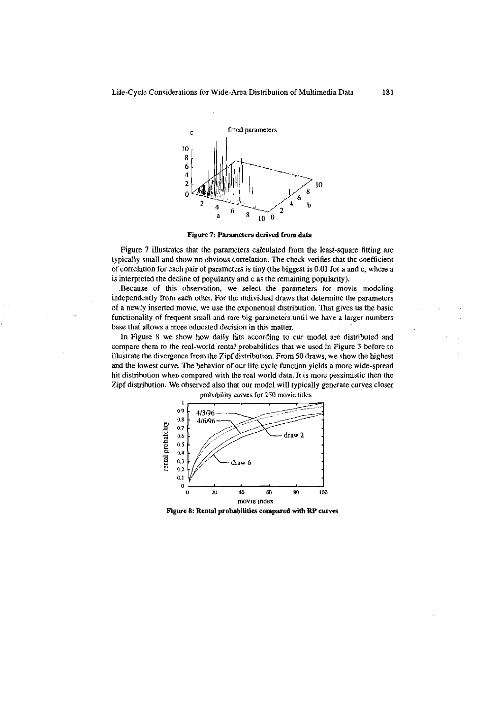

**Figure 7: Parameters derived from daia** 

Figure 7 illustrates that the parameters caleulated from the least-square fitting are typically small and show no obvious correlation. The check verifies that the coefficient of correlation for each pair of parameters is tiny (the biggest is 0.01 for a and C, where a is interpreted the decline of popularity and c as the remaining popularity).

Because of this observation, we select the parameters for movie modeling independently from each other. For the individual draws that determine the parameters of a newly inserted movie, we use the exponential distribution. Thar gives us the basic functionality of frequent small and rare big parameters until we have a larger numbers base that allows a more educated decision in this matter.

In Figure 8 we show how daily hits accordine to our model are distributed and compare them to the real-world rental probabilities that we used in Figure 3 before to illustrate the divergence from the Zipf distribution. From 50 draws. we show the highest and the lowest curve. The behavior of our life cycle function yields a more wide-spread hit disbibulion when compared with the rcal wocld data. It is moce pessimislic then ihe Zipf distribution. We observed also that our model will typically generate curves closer



probability curves for 250 movie titles

**Figure 8: Rcntal probabilitier compared with RP curyes**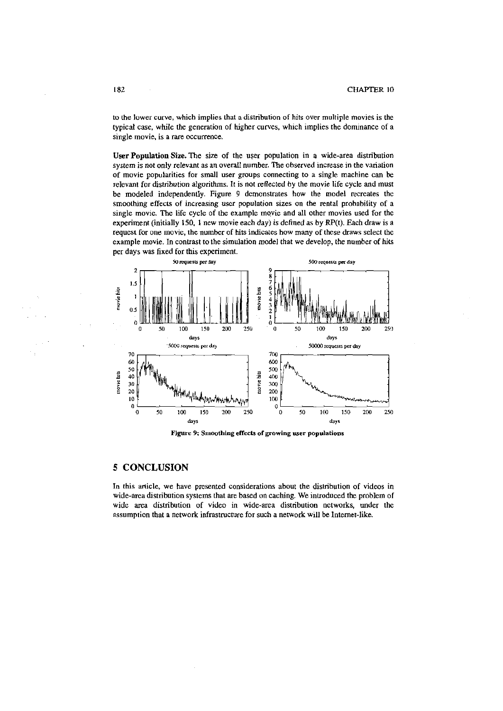to the lower curve, which implies that a distribution of hits over multiple movies is the typical case, while the generation of higher curves, which implies the dominance of a single movie, is a rare occurrence.

User Population Size. The size of the user population in a wide-area distribution system is not only relevant as an overall number. The observed increase in the variation of movie popularities for small user groups connecting to a single machine can be relevant for distribution algorithms. It is not reflected by the movie life cycle and must be modeled independently. Figure 9 demonstrates how the model recreates the smoothing effects of increasing user population sizes on the rental probability of a single movie. The life cycle of the example movie and all other movies used for the experiment (initially 150, 1 new movie each day) is defined as by RP(t). Each draw is a request for one movie, the number of hits indicates how many of these draws select the example movie. In contrast to the simulation model that we develop, the number of hits per days was fixed for this experiment.



Figure 9: Smoothing effects of growing user populations

#### **5 CONCLUSION**

In this article, we have presented considerations about the distribution of videos in wide-area distribution systems that are based on caching. We introduced the problem of wide area distribution of video in wide-area distribution networks, under the assumption that a network infrastructure for such a network will be Internet-like.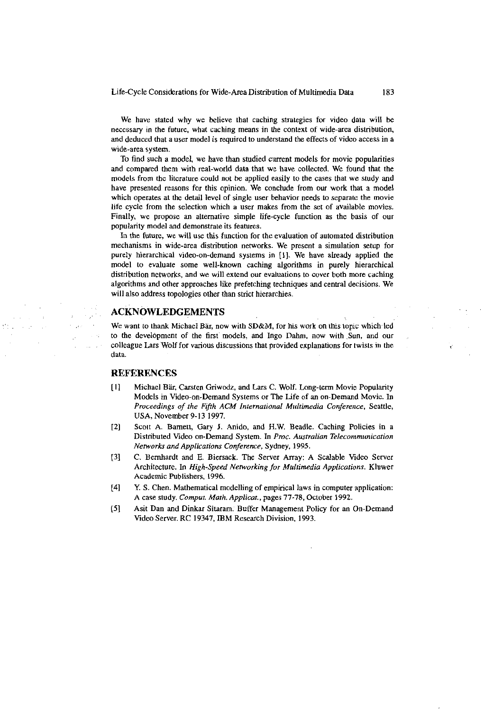Life-Cycle Considerations for Wide-Area Distribution of Multimedia Data 183

We have stated why we believe that caching strategies for video data will **be**  neccssary in the future. what caching means in Ihe context of wide-area distribution, and deduced that a user model is required to understand the effects of video access in a wide-area System.

To find such a model, we have than studied current models for movie popularities and compared them with real-world data that we have collected. We found that the models from thc litcrature could not be applied easily to the cases that we study and have presented reasons for this opinion. We conclude from our work that a model which operates at the detail level of single user behavior needs to separate the movie life cycle from the selection which a user makes from the set of available movies. Finally, we propose an alternative simple life-cycle function as the basis af our popularity model and demonstrate its features.

In the future, we will use this function for the evaluation of automated distribution mechanisms in wide-area distribution networks. We present a simulation setup for purely hierarchicai video-on-demand Systems in [I]. We have already appiied the model to evaiuate some well-known caching aigorithms in purely hierarchical distribution networks, and we will extend our evaluations to cover both more caching algorithms and other approaches like prefetching techniques and central decisions. We will also address topologies other than strict hierarchies.

# ACKNOWLEDGEMENTS

We Want to thank Michael **Bär,** now with SD&M, for his work on this iopic which **led**  to the development of the first models, and Ingo Dahm, now with Sun, and our colleague Lars Wolf for various discussions that provided explanations for twists in the data.

# **REFERENCES**

- [I] Michael **Bär,** Carsten Griwodz, and Lars C. Wolf. Long-term Movie Popularity Models in Video-on-Demand Systems or The Life of an on-Demand Movie. In *Pmceedings of the Fifih ACM International Miiltimedia Conference.* Seattle, USA, November 9-13 1997.
- **121** Scott A. Bamett, Gary J. Anido. and H.W. Beadle. Caching Policies in a Distributed Video on-Demand System. In *Proc. Australian Telecommunication Networks and Applications Conference,* Sydney. 1995.
- (31 C. Bemhardt and E. Biersack. The Server Array: A Scaiable Wdeo Server Architecture. In *High-Speed Networking for Multimedia Applicaiions.* Kluwer Academic Publishers. 1996.
- **[41 Y** S. Chen. Mathematical modeliing of empirical laws in Computer application: A case study. *Comput. Math. Applicat.*, pages 77-78, October 1992.
- **[51** Asit Dan and Dinkar Sitaram. Buffer Management Policy for an On-Demand Video Server. RC 19347, iBM Research Division. 1993.